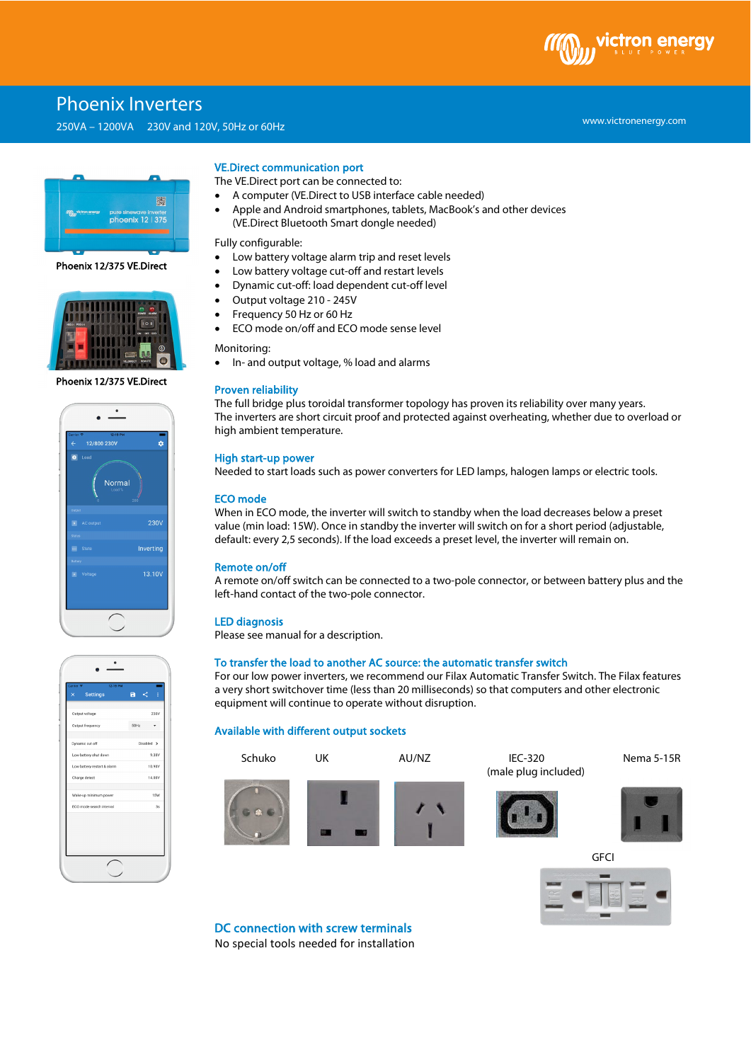# Phoenix Inverters

250VA – 1200VA 230V and 120V, 50Hz or 60Hz



#### Phoenix 12/375 VE.Direct



#### Phoenix 12/375 VE.Direct



# $\mathcal{A}$  $\mathbf{a}$ 10.90 14.00

# VE.Direct communication port

The VE.Direct port can be connected to:

- A computer (VE.Direct to USB interface cable needed)
- Apple and Android smartphones, tablets, MacBook's and other devices (VE.Direct Bluetooth Smart dongle needed)

Fully configurable:

- Low battery voltage alarm trip and reset levels
- Low battery voltage cut-off and restart levels
- Dynamic cut-off: load dependent cut-off level
- Output voltage 210 245V
- Frequency 50 Hz or 60 Hz
- ECO mode on/off and ECO mode sense level

Monitoring:

• In- and output voltage, % load and alarms

#### Proven reliability

The full bridge plus toroidal transformer topology has proven its reliability over many years. The inverters are short circuit proof and protected against overheating, whether due to overload or high ambient temperature.

#### High start-up power

Needed to start loads such as power converters for LED lamps, halogen lamps or electric tools.

#### ECO mode

When in ECO mode, the inverter will switch to standby when the load decreases below a preset value (min load: 15W). Once in standby the inverter will switch on for a short period (adjustable, default: every 2,5 seconds). If the load exceeds a preset level, the inverter will remain on.

#### Remote on/off

A remote on/off switch can be connected to a two-pole connector, or between battery plus and the left-hand contact of the two-pole connector.

#### LED diagnosis

Please see manual for a description.

# To transfer the load to another AC source: the automatic transfer switch

For our low power inverters, we recommend our Filax Automatic Transfer Switch. The Filax features a very short switchover time (less than 20 milliseconds) so that computers and other electronic equipment will continue to operate without disruption.

## Available with different output sockets





www.victronenergy.com